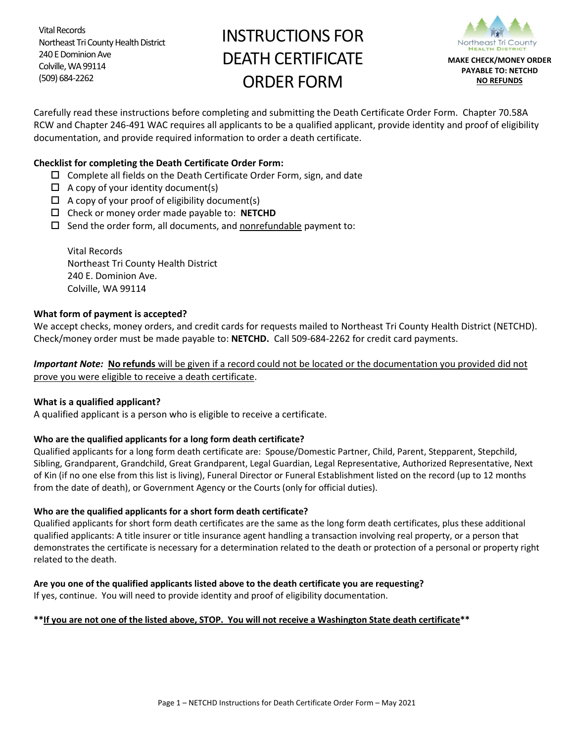Vital Records Northeast Tri County Health District 240 E Dominion Ave Colville, WA 99114 (509) 684-2262

# INSTRUCTIONS FOR DEATH CERTIFICATE ORDER FORM



Carefully read these instructions before completing and submitting the Death Certificate Order Form. Chapter 70.58A RCW and Chapter 246-491 WAC requires all applicants to be a qualified applicant, provide identity and proof of eligibility documentation, and provide required information to order a death certificate.

## **Checklist for completing the Death Certificate Order Form:**

- $\square$  Complete all fields on the Death Certificate Order Form, sign, and date
- $\Box$  A copy of your identity document(s)
- $\Box$  A copy of your proof of eligibility document(s)
- Check or money order made payable to: **NETCHD**
- $\square$  Send the order form, all documents, and nonrefundable payment to:

Vital Records Northeast Tri County Health District 240 E. Dominion Ave. Colville, WA 99114

## **What form of payment is accepted?**

We accept checks, money orders, and credit cards for requests mailed to Northeast Tri County Health District (NETCHD). Check/money order must be made payable to: **NETCHD.** Call 509-684-2262 for credit card payments.

*Important Note:* **No refunds** will be given if a record could not be located or the documentation you provided did not prove you were eligible to receive a death certificate.

## **What is a qualified applicant?**

A qualified applicant is a person who is eligible to receive a certificate.

## **Who are the qualified applicants for a long form death certificate?**

Qualified applicants for a long form death certificate are: Spouse/Domestic Partner, Child, Parent, Stepparent, Stepchild, Sibling, Grandparent, Grandchild, Great Grandparent, Legal Guardian, Legal Representative, Authorized Representative, Next of Kin (if no one else from this list is living), Funeral Director or Funeral Establishment listed on the record (up to 12 months from the date of death), or Government Agency or the Courts (only for official duties).

## **Who are the qualified applicants for a short form death certificate?**

Qualified applicants for short form death certificates are the same as the long form death certificates, plus these additional qualified applicants: A title insurer or title insurance agent handling a transaction involving real property, or a person that demonstrates the certificate is necessary for a determination related to the death or protection of a personal or property right related to the death.

## **Are you one of the qualified applicants listed above to the death certificate you are requesting?**

If yes, continue. You will need to provide identity and proof of eligibility documentation.

#### **\*\*If you are not one of the listed above, STOP. You will not receive a Washington State death certificate\*\***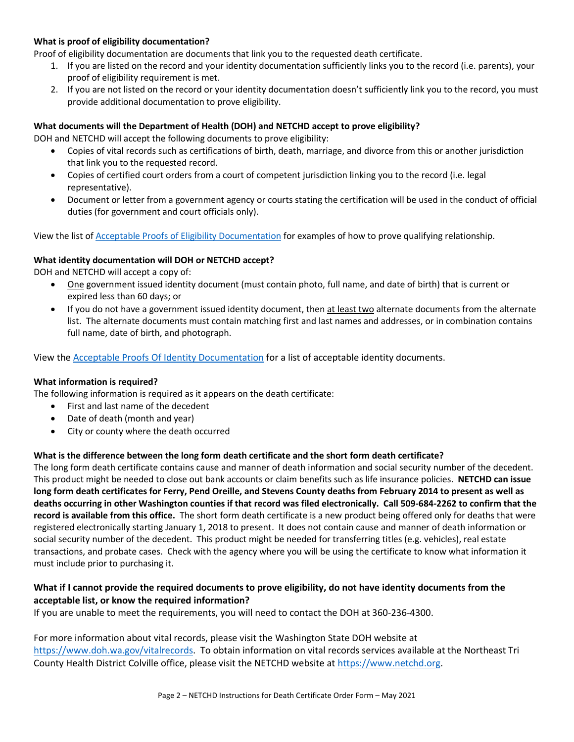## **What is proof of eligibility documentation?**

Proof of eligibility documentation are documents that link you to the requested death certificate.

- 1. If you are listed on the record and your identity documentation sufficiently links you to the record (i.e. parents), your proof of eligibility requirement is met.
- 2. If you are not listed on the record or your identity documentation doesn't sufficiently link you to the record, you must provide additional documentation to prove eligibility.

#### **What documents will the Department of Health (DOH) and NETCHD accept to prove eligibility?**

DOH and NETCHD will accept the following documents to prove eligibility:

- Copies of vital records such as certifications of birth, death, marriage, and divorce from this or another jurisdiction that link you to the requested record.
- Copies of certified court orders from a court of competent jurisdiction linking you to the record (i.e. legal representative).
- Document or letter from a government agency or courts stating the certification will be used in the conduct of official duties (for government and court officials only).

View the list of [Acceptable Proofs of Eligibility Documentation](https://www.doh.wa.gov/Portals/1/Documents/Pubs/422-178-AcceptableProofsOfEligibilityDocument.pdf?ver=2020-10-05-114951-737) for examples of how to prove qualifying relationship.

#### **What identity documentation will DOH or NETCHD accept?**

DOH and NETCHD will accept a copy of:

- One government issued identity document (must contain photo, full name, and date of birth) that is current or expired less than 60 days; or
- If you do not have a government issued identity document, then at least two alternate documents from the alternate list. The alternate documents must contain matching first and last names and addresses, or in combination contains full name, date of birth, and photograph.

View the Acceptable Proofs Of Identity [Documentation](https://www.doh.wa.gov/Portals/1/Documents/Pubs/422-177-AcceptableProofsOfIdentityDocuments.pdf) for a list of acceptable identity documents.

#### **What information is required?**

The following information is required as it appears on the death certificate:

- First and last name of the decedent
- Date of death (month and year)
- City or county where the death occurred

## **What is the difference between the long form death certificate and the short form death certificate?**

The long form death certificate contains cause and manner of death information and social security number of the decedent. This product might be needed to close out bank accounts or claim benefits such as life insurance policies. **NETCHD can issue long form death certificates for Ferry, Pend Oreille, and Stevens County deaths from February 2014 to present as well as deaths occurring in other Washington counties if that record was filed electronically. Call 509-684-2262 to confirm that the record is available from this office.** The short form death certificate is a new product being offered only for deaths that were registered electronically starting January 1, 2018 to present. It does not contain cause and manner of death information or social security number of the decedent. This product might be needed for transferring titles (e.g. vehicles), real estate transactions, and probate cases. Check with the agency where you will be using the certificate to know what information it must include prior to purchasing it.

## **What if I cannot provide the required documents to prove eligibility, do not have identity documents from the acceptable list, or know the required information?**

If you are unable to meet the requirements, you will need to contact the DOH at 360-236-4300.

For more information about vital records, please visit the Washington State DOH website at [https://www.doh.wa.gov/vitalrecords.](https://www.doh.wa.gov/vitalrecords) To obtain information on vital records services available at the Northeast Tri County Health District Colville office, please visit the NETCHD website at [https://www.netchd.org.](https://www.netchd.org/)